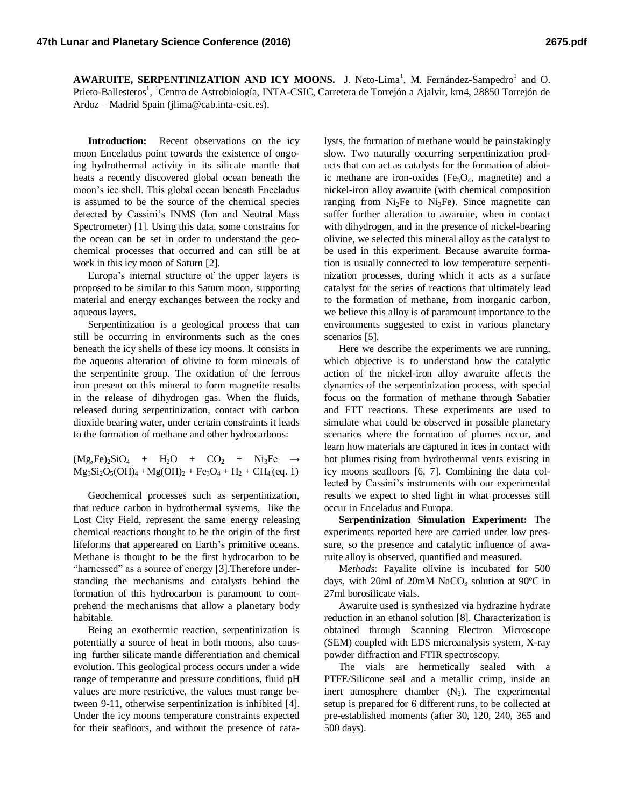**AWARUITE, SERPENTINIZATION AND ICY MOONS.** J. Neto-Lima<sup>1</sup>, M. Fernández-Sampedro<sup>1</sup> and O. Prieto-Ballesteros<sup>1</sup>, <sup>1</sup>Centro de Astrobiología, INTA-CSIC, Carretera de Torrejón a Ajalvir, km4, 28850 Torrejón de Ardoz – Madrid Spain (jlima@cab.inta-csic.es).

**Introduction:** Recent observations on the icy moon Enceladus point towards the existence of ongoing hydrothermal activity in its silicate mantle that heats a recently discovered global ocean beneath the moon's ice shell. This global ocean beneath Enceladus is assumed to be the source of the chemical species detected by Cassini's INMS (Ion and Neutral Mass Spectrometer) [1]. Using this data, some constrains for the ocean can be set in order to understand the geochemical processes that occurred and can still be at work in this icy moon of Saturn [2].

Europa's internal structure of the upper layers is proposed to be similar to this Saturn moon, supporting material and energy exchanges between the rocky and aqueous layers.

Serpentinization is a geological process that can still be occurring in environments such as the ones beneath the icy shells of these icy moons. It consists in the aqueous alteration of olivine to form minerals of the serpentinite group. The oxidation of the ferrous iron present on this mineral to form magnetite results in the release of dihydrogen gas. When the fluids, released during serpentinization, contact with carbon dioxide bearing water, under certain constraints it leads to the formation of methane and other hydrocarbons:

 $(Mg,Fe)_2SiO_4 + H_2O + CO_2 + Ni_3Fe \rightarrow$  $Mg_3Si_2O_5(OH)_4 + Mg(OH)_2 + Fe_3O_4 + H_2 + CH_4$  (eq. 1)

Geochemical processes such as serpentinization, that reduce carbon in hydrothermal systems, like the Lost City Field, represent the same energy releasing chemical reactions thought to be the origin of the first lifeforms that appereared on Earth's primitive oceans. Methane is thought to be the first hydrocarbon to be "harnessed" as a source of energy [3]. Therefore understanding the mechanisms and catalysts behind the formation of this hydrocarbon is paramount to comprehend the mechanisms that allow a planetary body habitable.

Being an exothermic reaction, serpentinization is potentially a source of heat in both moons, also causing further silicate mantle differentiation and chemical evolution. This geological process occurs under a wide range of temperature and pressure conditions, fluid pH values are more restrictive, the values must range between 9-11, otherwise serpentinization is inhibited [4]. Under the icy moons temperature constraints expected for their seafloors, and without the presence of catalysts, the formation of methane would be painstakingly slow. Two naturally occurring serpentinization products that can act as catalysts for the formation of abiotic methane are iron-oxides ( $Fe<sub>3</sub>O<sub>4</sub>$ , magnetite) and a nickel-iron alloy awaruite (with chemical composition ranging from  $Ni<sub>2</sub>Fe$  to  $Ni<sub>3</sub>Fe$ . Since magnetite can suffer further alteration to awaruite, when in contact with dihydrogen, and in the presence of nickel-bearing olivine, we selected this mineral alloy as the catalyst to be used in this experiment. Because awaruite formation is usually connected to low temperature serpentinization processes, during which it acts as a surface catalyst for the series of reactions that ultimately lead to the formation of methane, from inorganic carbon, we believe this alloy is of paramount importance to the environments suggested to exist in various planetary scenarios [5].

Here we describe the experiments we are running, which objective is to understand how the catalytic action of the nickel-iron alloy awaruite affects the dynamics of the serpentinization process, with special focus on the formation of methane through Sabatier and FTT reactions. These experiments are used to simulate what could be observed in possible planetary scenarios where the formation of plumes occur, and learn how materials are captured in ices in contact with hot plumes rising from hydrothermal vents existing in icy moons seafloors [6, 7]. Combining the data collected by Cassini's instruments with our experimental results we expect to shed light in what processes still occur in Enceladus and Europa.

**Serpentinization Simulation Experiment:** The experiments reported here are carried under low pressure, so the presence and catalytic influence of awaruite alloy is observed, quantified and measured.

M*ethods*: Fayalite olivine is incubated for 500 days, with 20ml of 20mM NaCO<sub>3</sub> solution at  $90^{\circ}$ C in 27ml borosilicate vials.

Awaruite used is synthesized via hydrazine hydrate reduction in an ethanol solution [8]. Characterization is obtained through Scanning Electron Microscope (SEM) coupled with EDS microanalysis system, X-ray powder diffraction and FTIR spectroscopy.

The vials are hermetically sealed with a PTFE/Silicone seal and a metallic crimp, inside an inert atmosphere chamber  $(N_2)$ . The experimental setup is prepared for 6 different runs, to be collected at pre-established moments (after 30, 120, 240, 365 and 500 days).